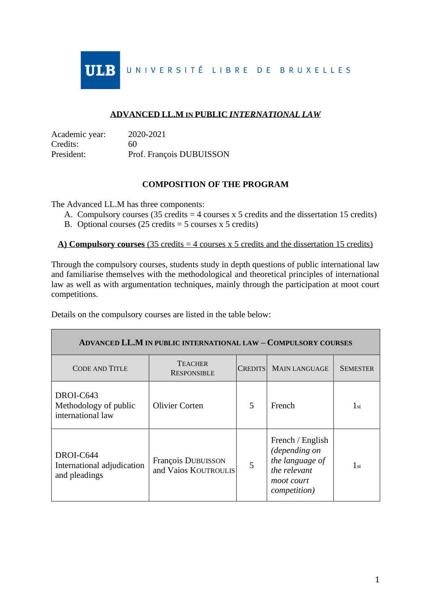**IILR** UNIVERSITÉ LIBRE DE BRUXELLES

## **ADVANCED LL.M IN PUBLIC** *INTERNATIONAL LAW*

| Academic year: | 2020-2021                |
|----------------|--------------------------|
| Credits:       | 60                       |
| President:     | Prof. François DUBUISSON |

## **COMPOSITION OF THE PROGRAM**

The Advanced LL.M has three components:

- A. Compulsory courses  $(35 \text{ credits} = 4 \text{ courses} \times 5 \text{ credits} \text{ and the dissertation } 15 \text{ credits})$
- B. Optional courses  $(25 \text{ credits} = 5 \text{ courses} \times 5 \text{ credits})$

## A) **Compulsory courses** (35 credits  $=$  4 courses x 5 credits and the dissertation 15 credits)

Through the compulsory courses, students study in depth questions of public international law and familiarise themselves with the methodological and theoretical principles of international law as well as with argumentation techniques, mainly through the participation at moot court competitions.

Details on the compulsory courses are listed in the table below:

| <b>ADVANCED LL.M IN PUBLIC INTERNATIONAL LAW - COMPULSORY COURSES</b> |                                            |   |                                                                                                            |                 |  |
|-----------------------------------------------------------------------|--------------------------------------------|---|------------------------------------------------------------------------------------------------------------|-----------------|--|
| CODE AND TITLE                                                        | <b>TEACHER</b><br><b>RESPONSIBLE</b>       |   | CREDITS MAIN LANGUAGE                                                                                      | <b>SEMESTER</b> |  |
| DROI-C643<br>Methodology of public<br>international law               | <b>Olivier Corten</b>                      | 5 | French                                                                                                     | $1_{\rm st}$    |  |
| DROI-C644<br>International adjudication<br>and pleadings              | François DUBUISSON<br>and Vaios KOUTROULIS | 5 | French / English<br>(depending on<br>the language of<br>the relevant<br>moot court<br><i>competition</i> ) | $1_{\rm st}$    |  |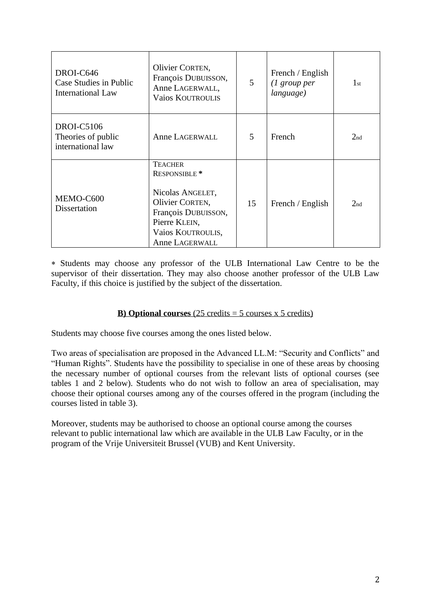| DROI-C646<br>Case Studies in Public<br><b>International Law</b> | Olivier CORTEN,<br>François DUBUISSON,<br>Anne LAGERWALL,<br><b>Vaios KOUTROULIS</b>                                                                             | 5  | French / English<br>$(1 \text{ group per})$<br>language) | $1_{\rm st}$    |
|-----------------------------------------------------------------|------------------------------------------------------------------------------------------------------------------------------------------------------------------|----|----------------------------------------------------------|-----------------|
| <b>DROI-C5106</b><br>Theories of public<br>international law    | Anne LAGERWALL                                                                                                                                                   | 5  | French                                                   | 2 <sub>nd</sub> |
| MEMO-C600<br><b>Dissertation</b>                                | <b>TEACHER</b><br>RESPONSIBLE <sup>*</sup><br>Nicolas ANGELET,<br>Olivier CORTEN,<br>François DUBUISSON,<br>Pierre KLEIN,<br>Vaios KOUTROULIS,<br>Anne LAGERWALL | 15 | French / English                                         | 2 <sub>nd</sub> |

 Students may choose any professor of the ULB International Law Centre to be the supervisor of their dissertation. They may also choose another professor of the ULB Law Faculty, if this choice is justified by the subject of the dissertation.

## **B)** Optional **courses** (25 credits  $=$  5 courses x 5 credits)

Students may choose five courses among the ones listed below.

Two areas of specialisation are proposed in the Advanced LL.M: "Security and Conflicts" and "Human Rights". Students have the possibility to specialise in one of these areas by choosing the necessary number of optional courses from the relevant lists of optional courses (see tables 1 and 2 below). Students who do not wish to follow an area of specialisation, may choose their optional courses among any of the courses offered in the program (including the courses listed in table 3).

Moreover, students may be authorised to choose an optional course among the courses relevant to public international law which are available in the ULB Law Faculty, or in the program of the Vrije Universiteit Brussel (VUB) and Kent University.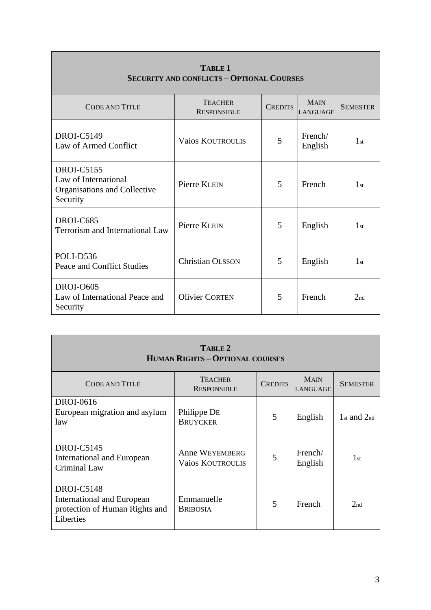| <b>CODE AND TITLE</b>                                                                 | <b>TEACHER</b><br><b>RESPONSIBLE</b> | <b>CREDITS</b> | <b>MAIN</b><br><b>LANGUAGE</b> | <b>SEMESTER</b> |
|---------------------------------------------------------------------------------------|--------------------------------------|----------------|--------------------------------|-----------------|
| <b>DROI-C5149</b><br>Law of Armed Conflict                                            | <b>Vaios KOUTROULIS</b>              | 5              | French/<br>English             | 1 <sub>st</sub> |
| <b>DROI-C5155</b><br>Law of International<br>Organisations and Collective<br>Security | Pierre KLEIN                         | 5              | French                         | 1 <sub>st</sub> |
| DROI-C685<br>Terrorism and International Law                                          | Pierre KLEIN                         | 5              | English                        | 1 <sub>st</sub> |
| POLI-D536<br>Peace and Conflict Studies                                               | <b>Christian OLSSON</b>              | 5              | English                        | 1 <sub>st</sub> |
| <b>DROI-O605</b><br>Law of International Peace and<br>Security                        | <b>Olivier CORTEN</b>                | 5              | French                         | 2 <sub>nd</sub> |

| TABLE 1                                          |
|--------------------------------------------------|
| <b>SECURITY AND CONFLICTS - OPTIONAL COURSES</b> |

| TABLE 2<br><b>HUMAN RIGHTS - OPTIONAL COURSES</b>                                       |                                                  |                |                                |                               |  |
|-----------------------------------------------------------------------------------------|--------------------------------------------------|----------------|--------------------------------|-------------------------------|--|
| <b>CODE AND TITLE</b>                                                                   | <b>TEACHER</b><br><b>RESPONSIBLE</b>             | <b>CREDITS</b> | <b>MAIN</b><br><b>LANGUAGE</b> | <b>SEMESTER</b>               |  |
| <b>DROI-0616</b><br>European migration and asylum<br>law                                | Philippe DE<br><b>BRUYCKER</b>                   | 5              | English                        | $1_{\rm st}$ and $2_{\rm nd}$ |  |
| DROI-C5145<br>International and European<br>Criminal Law                                | <b>Anne WEYEMBERG</b><br><b>Vaios KOUTROULIS</b> | 5              | French/<br>English             | $1_{\rm st}$                  |  |
| DROI-C5148<br>International and European<br>protection of Human Rights and<br>Liberties | Emmanuelle<br><b>BRIBOSIA</b>                    | 5              | French                         | 2 <sub>nd</sub>               |  |